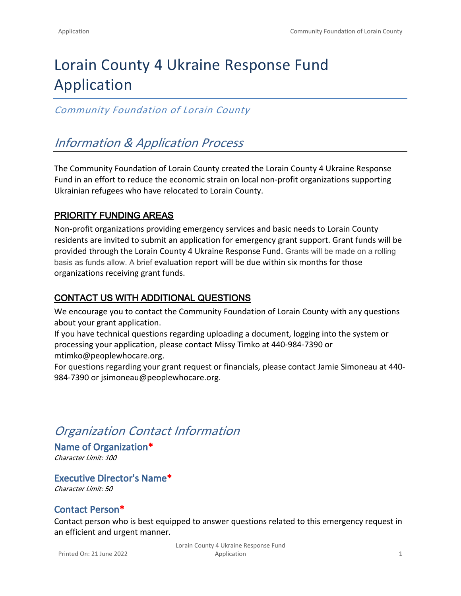# Lorain County 4 Ukraine Response Fund Application

### *Community Foundation of Lorain County*

# *Information & Application Process*

The Community Foundation of Lorain County created the Lorain County 4 Ukraine Response Fund in an effort to reduce the economic strain on local non-profit organizations supporting Ukrainian refugees who have relocated to Lorain County.

### **PRIORITY FUNDING AREAS**

Non-profit organizations providing emergency services and basic needs to Lorain County residents are invited to submit an application for emergency grant support. Grant funds will be provided through the Lorain County 4 Ukraine Response Fund. Grants will be made on a rolling basis as funds allow. A brief evaluation report will be due within six months for those organizations receiving grant funds.

### **CONTACT US WITH ADDITIONAL QUESTIONS**

We encourage you to contact the Community Foundation of Lorain County with any questions about your grant application.

If you have technical questions regarding uploading a document, logging into the system or processing your application, please contact Missy Timko at 440-984-7390 or mtimko@peoplewhocare.org.

For questions regarding your grant request or financials, please contact Jamie Simoneau at 440- 984-7390 or jsimoneau@peoplewhocare.org.

## *Organization Contact Information*

**Name of Organization\*** *Character Limit: 100*

**Executive Director's Name\*** *Character Limit: 50*

### **Contact Person\***

Contact person who is best equipped to answer questions related to this emergency request in an efficient and urgent manner.

Printed On: 21 June 2022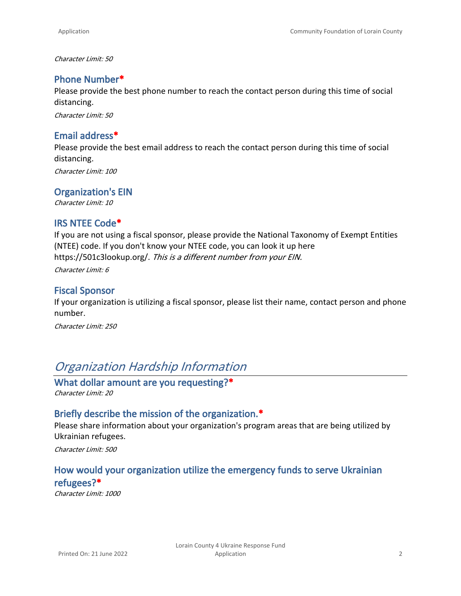*Character Limit: 50*

#### **Phone Number\***

Please provide the best phone number to reach the contact person during this time of social distancing.

*Character Limit: 50*

#### **Email address\***

Please provide the best email address to reach the contact person during this time of social distancing.

*Character Limit: 100*

#### **Organization's EIN**

*Character Limit: 10*

#### **IRS NTEE Code\***

If you are not using a fiscal sponsor, please provide the National Taxonomy of Exempt Entities (NTEE) code. If you don't know your NTEE code, you can look it up here [https://501c3lookup.org/.](https://501c3lookup.org/) *This is a different number from your EIN.*

*Character Limit: 6*

#### **Fiscal Sponsor**

If your organization is utilizing a fiscal sponsor, please list their name, contact person and phone number.

*Character Limit: 250*

# *Organization Hardship Information*

**What dollar amount are you requesting?\*** *Character Limit: 20*

#### **Briefly describe the mission of the organization.\***

Please share information about your organization's program areas that are being utilized by Ukrainian refugees.

*Character Limit: 500*

### **How would your organization utilize the emergency funds to serve Ukrainian refugees?\***

*Character Limit: 1000*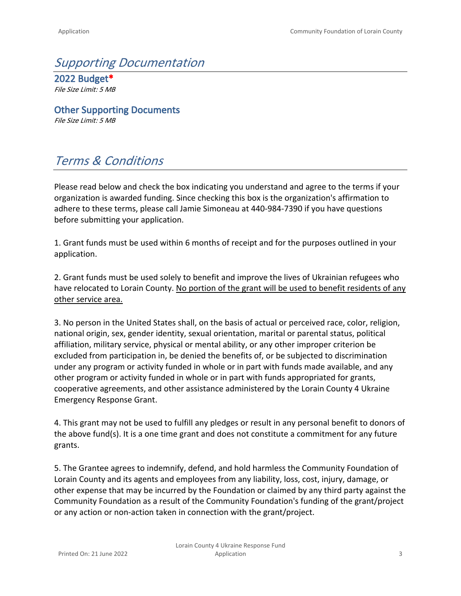# *Supporting Documentation*

**2022 Budget\*** *File Size Limit: 5 MB*

**Other Supporting Documents** *File Size Limit: 5 MB*

# *Terms & Conditions*

Please read below and check the box indicating you understand and agree to the terms if your organization is awarded funding. Since checking this box is the organization's affirmation to adhere to these terms, please call Jamie Simoneau at 440-984-7390 if you have questions before submitting your application.

1. Grant funds must be used within 6 months of receipt and for the purposes outlined in your application.

2. Grant funds must be used solely to benefit and improve the lives of Ukrainian refugees who have relocated to Lorain County. No portion of the grant will be used to benefit residents of any other service area.

3. No person in the United States shall, on the basis of actual or perceived race, color, religion, national origin, sex, gender identity, sexual orientation, marital or parental status, political affiliation, military service, physical or mental ability, or any other improper criterion be excluded from participation in, be denied the benefits of, or be subjected to discrimination under any program or activity funded in whole or in part with funds made available, and any other program or activity funded in whole or in part with funds appropriated for grants, cooperative agreements, and other assistance administered by the Lorain County 4 Ukraine Emergency Response Grant.

4. This grant may not be used to fulfill any pledges or result in any personal benefit to donors of the above fund(s). It is a one time grant and does not constitute a commitment for any future grants.

5. The Grantee agrees to indemnify, defend, and hold harmless the Community Foundation of Lorain County and its agents and employees from any liability, loss, cost, injury, damage, or other expense that may be incurred by the Foundation or claimed by any third party against the Community Foundation as a result of the Community Foundation's funding of the grant/project or any action or non-action taken in connection with the grant/project.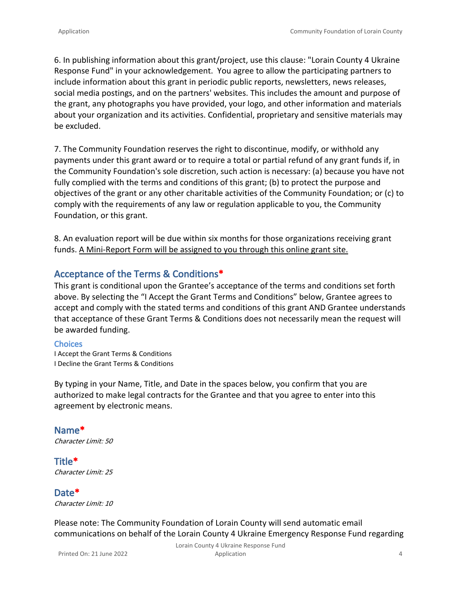6. In publishing information about this grant/project, use this clause: "Lorain County 4 Ukraine Response Fund" in your acknowledgement. You agree to allow the participating partners to include information about this grant in periodic public reports, newsletters, news releases, social media postings, and on the partners' websites. This includes the amount and purpose of the grant, any photographs you have provided, your logo, and other information and materials about your organization and its activities. Confidential, proprietary and sensitive materials may be excluded.

7. The Community Foundation reserves the right to discontinue, modify, or withhold any payments under this grant award or to require a total or partial refund of any grant funds if, in the Community Foundation's sole discretion, such action is necessary: (a) because you have not fully complied with the terms and conditions of this grant; (b) to protect the purpose and objectives of the grant or any other charitable activities of the Community Foundation; or (c) to comply with the requirements of any law or regulation applicable to you, the Community Foundation, or this grant.

8. An evaluation report will be due within six months for those organizations receiving grant funds. A Mini-Report Form will be assigned to you through this online grant site.

#### **Acceptance of the Terms & Conditions\***

This grant is conditional upon the Grantee's acceptance of the terms and conditions set forth above. By selecting the "I Accept the Grant Terms and Conditions" below, Grantee agrees to accept and comply with the stated terms and conditions of this grant AND Grantee understands that acceptance of these Grant Terms & Conditions does not necessarily mean the request will be awarded funding.

#### **Choices**

I Accept the Grant Terms & Conditions I Decline the Grant Terms & Conditions

By typing in your Name, Title, and Date in the spaces below, you confirm that you are authorized to make legal contracts for the Grantee and that you agree to enter into this agreement by electronic means.

**Name\*** *Character Limit: 50*

**Title\*** *Character Limit: 25*

**Date\*** *Character Limit: 10*

Please note: The Community Foundation of Lorain County will send automatic email communications on behalf of the Lorain County 4 Ukraine Emergency Response Fund regarding